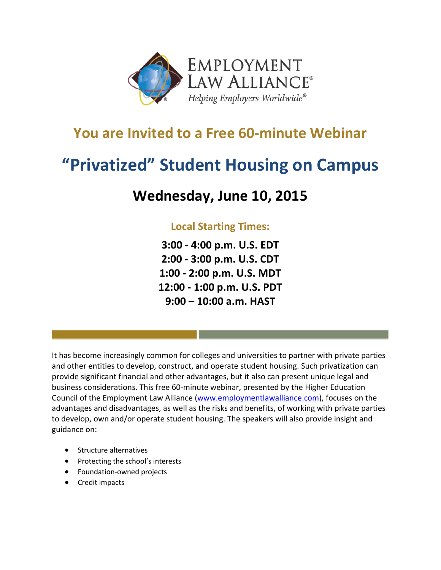

## **You are Invited to a Free 60-minute Webinar**

# **"Privatized" Student Housing on Campus**

## **Wednesday, June 10, 2015**

### **Local Starting Times:**

**3:00 - 4:00 p.m. U.S. EDT 2:00 - 3:00 p.m. U.S. CDT 1:00 - 2:00 p.m. U.S. MDT 12:00 - 1:00 p.m. U.S. PDT 9:00 – 10:00 a.m. HAST**

It has become increasingly common for colleges and universities to partner with private parties and other entities to develop, construct, and operate student housing. Such privatization can provide significant financial and other advantages, but it also can present unique legal and business considerations. This free 60-minute webinar, presented by the Higher Education Council of the Employment Law Alliance [\(www.employmentlawalliance.com\)](http://www.employmentlawalliance.com/), focuses on the advantages and disadvantages, as well as the risks and benefits, of working with private parties to develop, own and/or operate student housing. The speakers will also provide insight and guidance on:

- Structure alternatives
- Protecting the school's interests
- Foundation-owned projects
- Credit impacts